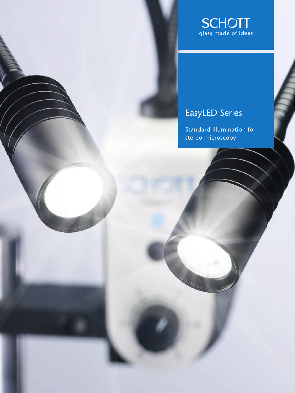

# EasyLED Series

Standard illumination for stereo microscopy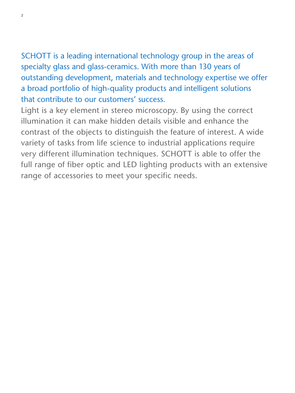## SCHOTT is a leading international technology group in the areas of specialty glass and glass-ceramics. With more than 130 years of outstanding development, materials and technology expertise we offer a broad portfolio of high-quality products and intelligent solutions that contribute to our customers' success.

Light is a key element in stereo microscopy. By using the correct illumination it can make hidden details visible and enhance the contrast of the objects to distinguish the feature of interest. A wide variety of tasks from life science to industrial applications require very different illumination techniques. SCHOTT is able to offer the full range of fiber optic and LED lighting products with an extensive range of accessories to meet your specific needs.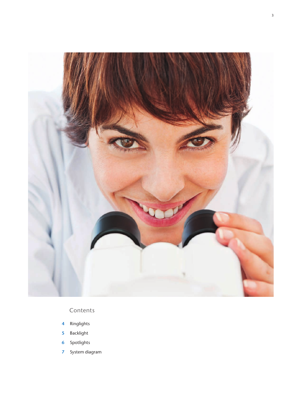

### Contents

- Ringlights **4**
- Backlight **5**
- Spotlights **6**
- System diagram **7**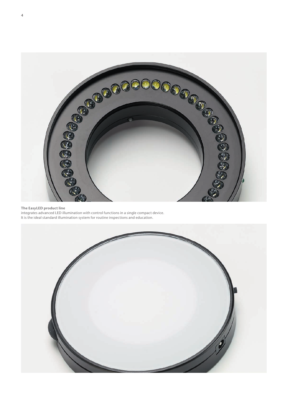

#### **The EasyLED product line**

integrates advanced LED illumination with control functions in a single compact device. It is the ideal standard illumination system for routine inspections and education.

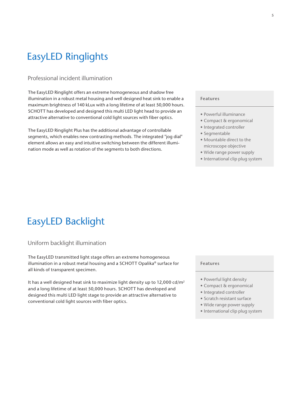## EasyLED Ringlights

### Professional incident illumination

The EasyLED Ringlight offers an extreme homogeneous and shadow free illumination in a robust metal housing and well designed heat sink to enable a maximum brightness of 140 kLux with a long lifetime of at least 50,000 hours. SCHOTT has developed and designed this multi LED light head to provide an attractive alternative to conventional cold light sources with fiber optics.

The EasyLED Ringlight Plus has the additional advantage of controllable segments, which enables new contrasting methods. The integrated "jog dial" element allows an easy and intuitive switching between the different illumination mode as well as rotation of the segments to both directions.

#### **Features**

- Powerful illuminance
- Compact & ergonomical
- Integrated controller
- Segmentable
- Mountable direct to the microscope objective
- Wide range power supply
- International clip plug system

## EasyLED Backlight

### Uniform backlight illumination

The EasyLED transmitted light stage offers an extreme homogeneous illumination in a robust metal housing and a SCHOTT Opalika® surface for all kinds of transparent specimen.

It has a well designed heat sink to maximize light density up to 12,000 cd/m2 and a long lifetime of at least 50,000 hours. SCHOTT has developed and designed this multi LED light stage to provide an attractive alternative to conventional cold light sources with fiber optics.

#### **Features**

- Powerful light density
- Compact & ergonomical
- Integrated controller
- Scratch resistant surface
- Wide range power supply
- International clip plug system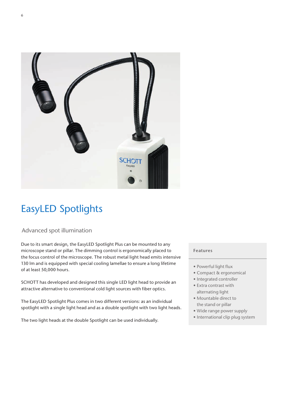

## EasyLED Spotlights

### Advanced spot illumination

Due to its smart design, the EasyLED Spotlight Plus can be mounted to any microscope stand or pillar. The dimming control is ergonomically placed to the focus control of the microscope. The robust metal light head emits intensive 130 lm and is equipped with special cooling lamellae to ensure a long lifetime of at least 50,000 hours.

SCHOTT has developed and designed this single LED light head to provide an attractive alternative to conventional cold light sources with fiber optics.

The EasyLED Spotlight Plus comes in two different versions: as an individual spotlight with a single light head and as a double spotlight with two light heads.

The two light heads at the double Spotlight can be used individually.

### **Features**

- Powerful light flux
- Compact & ergonomical
- Integrated controller
- Extra contrast with alternating light
- Mountable direct to the stand or pillar
- Wide range power supply
- International clip plug system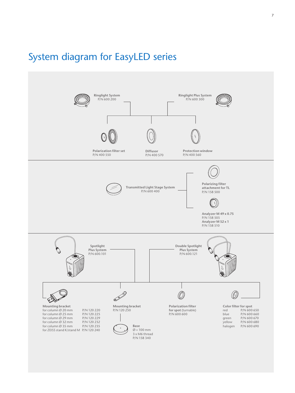## System diagram for EasyLED series